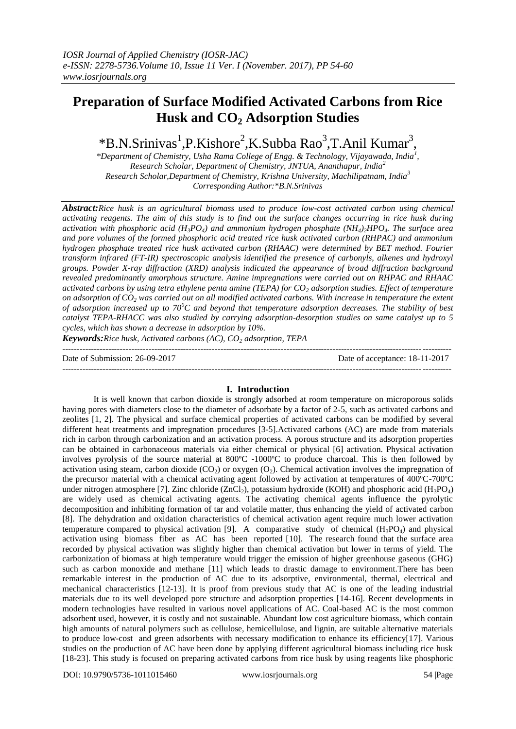# **Preparation of Surface Modified Activated Carbons from Rice Husk and CO<sup>2</sup> Adsorption Studies**

\*B.N.Srinivas<sup>1</sup>,P.Kishore<sup>2</sup>,K.Subba Rao<sup>3</sup>,T.Anil Kumar<sup>3</sup>,

*\*Department of Chemistry, Usha Rama College of Engg. & Technology, Vijayawada, India<sup>1</sup> , Research Scholar, Department of Chemistry, JNTUA, Ananthapur, India<sup>2</sup> Research Scholar,Department of Chemistry, Krishna University, Machilipatnam, India<sup>3</sup> Corresponding Author:\*B.N.Srinivas*

*Abstract:Rice husk is an agricultural biomass used to produce low-cost activated carbon using chemical activating reagents. The aim of this study is to find out the surface changes occurring in rice husk during activation with phosphoric acid (H3PO4) and ammonium hydrogen phosphate (NH4)2HPO4. The surface area and pore volumes of the formed phosphoric acid treated rice husk activated carbon (RHPAC) and ammonium hydrogen phosphate treated rice husk activated carbon (RHAAC) were determined by BET method. Fourier transform infrared (FT-IR) spectroscopic analysis identified the presence of carbonyls, alkenes and hydroxyl groups. Powder X-ray diffraction (XRD) analysis indicated the appearance of broad diffraction background revealed predominantly amorphous structure. Amine impregnations were carried out on RHPAC and RHAAC activated carbons by using tetra ethylene penta amine (TEPA) for CO<sup>2</sup> adsorption studies. Effect of temperature on adsorption of CO<sup>2</sup> was carried out on all modified activated carbons. With increase in temperature the extent of adsorption increased up to 70<sup>0</sup>C and beyond that temperature adsorption decreases. The stability of best catalyst TEPA-RHACC was also studied by carrying adsorption-desorption studies on same catalyst up to 5 cycles, which has shown a decrease in adsorption by 10%.* 

*Keywords:Rice husk, Activated carbons (AC), CO<sup>2</sup> adsorption, TEPA* ---------------------------------------------------------------------------------------------------------------------------------------

Date of Submission: 26-09-2017 Date of acceptance: 18-11-2017 ---------------------------------------------------------------------------------------------------------------------------------------

## **I. Introduction**

It is well known that carbon dioxide is strongly adsorbed at room temperature on microporous solids having pores with diameters close to the diameter of adsorbate by a factor of 2-5, such as activated carbons and zeolites [1, 2]. The physical and surface chemical properties of activated carbons can be modified by several different heat treatments and impregnation procedures [3-5].Activated carbons (AC) are made from materials rich in carbon through carbonization and an activation process. A porous structure and its adsorption properties can be obtained in carbonaceous materials via either chemical or physical [6] activation. Physical activation involves pyrolysis of the source material at 800ºC -1000ºC to produce charcoal. This is then followed by activation using steam, carbon dioxide  $(CO_2)$  or oxygen  $(O_2)$ . Chemical activation involves the impregnation of the precursor material with a chemical activating agent followed by activation at temperatures of 400ºC-700ºC under nitrogen atmosphere [7]. Zinc chloride (ZnCl<sub>2</sub>), potassium hydroxide (KOH) and phosphoric acid (H<sub>3</sub>PO<sub>4</sub>) are widely used as chemical activating agents. The activating chemical agents influence the pyrolytic decomposition and inhibiting formation of tar and volatile matter, thus enhancing the yield of activated carbon [8]. The dehydration and oxidation characteristics of chemical activation agent require much lower activation temperature compared to physical activation [9]. A comparative study of chemical  $(H_3PO_4)$  and physical activation using biomass fiber as AC has been reported [10]. The research found that the surface area recorded by physical activation was slightly higher than chemical activation but lower in terms of yield. The carbonization of biomass at high temperature would trigger the emission of higher greenhouse gaseous (GHG) such as carbon monoxide and methane [11] which leads to drastic damage to environment.There has been remarkable interest in the production of AC due to its adsorptive, environmental, thermal, electrical and mechanical characteristics [12-13]. It is proof from previous study that AC is one of the leading industrial materials due to its well developed pore structure and adsorption properties [14-16]. Recent developments in modern technologies have resulted in various novel applications of AC. Coal-based AC is the most common adsorbent used, however, it is costly and not sustainable. Abundant low cost agriculture biomass, which contain high amounts of natural polymers such as cellulose, hemicellulose, and lignin, are suitable alternative materials to produce low-cost and green adsorbents with necessary modification to enhance its efficiency[17]. Various studies on the production of AC have been done by applying different agricultural biomass including rice husk [18-23]. This study is focused on preparing activated carbons from rice husk by using reagents like phosphoric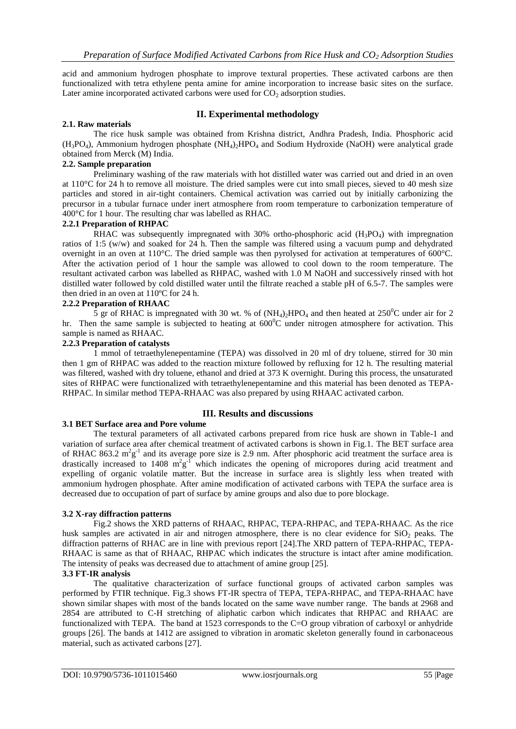acid and ammonium hydrogen phosphate to improve textural properties. These activated carbons are then functionalized with tetra ethylene penta amine for amine incorporation to increase basic sites on the surface. Later amine incorporated activated carbons were used for  $CO<sub>2</sub>$  adsorption studies.

# **II. Experimental methodology**

## **2.1. Raw materials**

The rice husk sample was obtained from Krishna district, Andhra Pradesh, India. Phosphoric acid  $(H_3PO_4)$ , Ammonium hydrogen phosphate  $(NH_4)$ <sup>2</sup>HPO<sub>4</sub> and Sodium Hydroxide (NaOH) were analytical grade obtained from Merck (M) India.

## **2.2. Sample preparation**

Preliminary washing of the raw materials with hot distilled water was carried out and dried in an oven at 110°C for 24 h to remove all moisture. The dried samples were cut into small pieces, sieved to 40 mesh size particles and stored in air-tight containers. Chemical activation was carried out by initially carbonizing the precursor in a tubular furnace under inert atmosphere from room temperature to carbonization temperature of 400°C for 1 hour. The resulting char was labelled as RHAC.

## **2.2.1 Preparation of RHPAC**

RHAC was subsequently impregnated with 30% ortho-phosphoric acid  $(H_3PO_4)$  with impregnation ratios of 1:5 (w/w) and soaked for 24 h. Then the sample was filtered using a vacuum pump and dehydrated overnight in an oven at 110°C. The dried sample was then pyrolysed for activation at temperatures of 600°C. After the activation period of 1 hour the sample was allowed to cool down to the room temperature. The resultant activated carbon was labelled as RHPAC, washed with 1.0 M NaOH and successively rinsed with hot distilled water followed by cold distilled water until the filtrate reached a stable pH of 6.5-7. The samples were then dried in an oven at 110ºC for 24 h.

## **2.2.2 Preparation of RHAAC**

5 gr of RHAC is impregnated with 30 wt. % of  $(NH_4)$ <sub>2</sub>HPO<sub>4</sub> and then heated at 250<sup>°</sup>C under air for 2 hr. Then the same sample is subjected to heating at  $600^{\circ}$ C under nitrogen atmosphere for activation. This sample is named as RHAAC.

### **2.2.3 Preparation of catalysts**

1 mmol of tetraethylenepentamine (TEPA) was dissolved in 20 ml of dry toluene, stirred for 30 min then 1 gm of RHPAC was added to the reaction mixture followed by refluxing for 12 h. The resulting material was filtered, washed with dry toluene, ethanol and dried at 373 K overnight. During this process, the unsaturated sites of RHPAC were functionalized with tetraethylenepentamine and this material has been denoted as TEPA-RHPAC. In similar method TEPA-RHAAC was also prepared by using RHAAC activated carbon.

## **III. Results and discussions**

### **3.1 BET Surface area and Pore volume**

The textural parameters of all activated carbons prepared from rice husk are shown in Table-1 and variation of surface area after chemical treatment of activated carbons is shown in Fig.1. The BET surface area of RHAC 863.2  $m^2g^{-1}$  and its average pore size is 2.9 nm. After phosphoric acid treatment the surface area is drastically increased to 1408  $m^2g^T$  which indicates the opening of micropores during acid treatment and expelling of organic volatile matter. But the increase in surface area is slightly less when treated with ammonium hydrogen phosphate. After amine modification of activated carbons with TEPA the surface area is decreased due to occupation of part of surface by amine groups and also due to pore blockage.

### **3.2 X-ray diffraction patterns**

Fig.2 shows the XRD patterns of RHAAC, RHPAC, TEPA-RHPAC, and TEPA-RHAAC. As the rice husk samples are activated in air and nitrogen atmosphere, there is no clear evidence for  $SiO<sub>2</sub>$  peaks. The diffraction patterns of RHAC are in line with previous report [24].The XRD pattern of TEPA-RHPAC, TEPA-RHAAC is same as that of RHAAC, RHPAC which indicates the structure is intact after amine modification. The intensity of peaks was decreased due to attachment of amine group [25].

### **3.3 FT-IR analysis**

The qualitative characterization of surface functional groups of activated carbon samples was performed by FTIR technique. Fig.3 shows FT-IR spectra of TEPA, TEPA-RHPAC, and TEPA-RHAAC have shown similar shapes with most of the bands located on the same wave number range. The bands at 2968 and 2854 are attributed to C-H stretching of aliphatic carbon which indicates that RHPAC and RHAAC are functionalized with TEPA. The band at 1523 corresponds to the C=O group vibration of carboxyl or anhydride groups [26]. The bands at 1412 are assigned to vibration in aromatic skeleton generally found in carbonaceous material, such as activated carbons [27].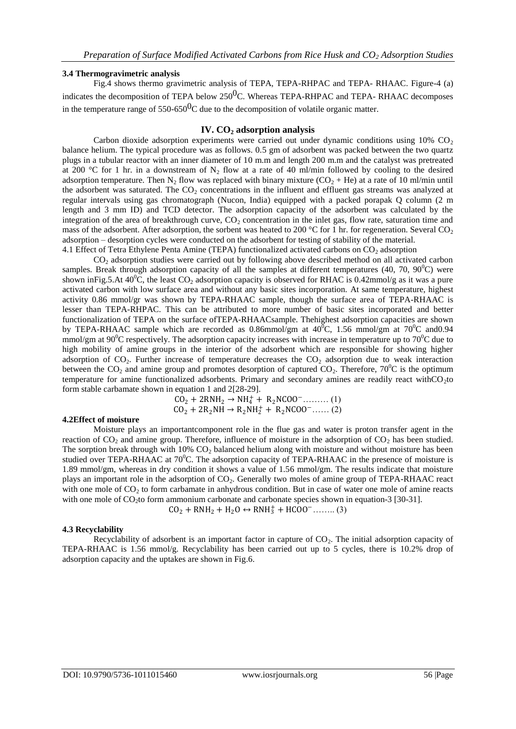## **3.4 Thermogravimetric analysis**

Fig.4 shows thermo gravimetric analysis of TEPA, TEPA-RHPAC and TEPA- RHAAC. Figure-4 (a) indicates the decomposition of TEPA below 250<sup>0</sup>C. Whereas TEPA-RHPAC and TEPA- RHAAC decomposes in the temperature range of  $550-650$ <sup>O</sup>C due to the decomposition of volatile organic matter.

### **IV. CO<sup>2</sup> adsorption analysis**

Carbon dioxide adsorption experiments were carried out under dynamic conditions using  $10\%$  CO<sub>2</sub> balance helium. The typical procedure was as follows. 0.5 gm of adsorbent was packed between the two quartz plugs in a tubular reactor with an inner diameter of 10 m.m and length 200 m.m and the catalyst was pretreated at 200 °C for 1 hr. in a downstream of N<sub>2</sub> flow at a rate of 40 ml/min followed by cooling to the desired adsorption temperature. Then  $N_2$  flow was replaced with binary mixture (CO<sub>2</sub> + He) at a rate of 10 ml/min until the adsorbent was saturated. The  $CO<sub>2</sub>$  concentrations in the influent and effluent gas streams was analyzed at regular intervals using gas chromatograph (Nucon, India) equipped with a packed porapak Q column (2 m length and 3 mm ID) and TCD detector. The adsorption capacity of the adsorbent was calculated by the integration of the area of breakthrough curve,  $CO<sub>2</sub>$  concentration in the inlet gas, flow rate, saturation time and mass of the adsorbent. After adsorption, the sorbent was heated to 200 °C for 1 hr. for regeneration. Several  $CO<sub>2</sub>$ adsorption – desorption cycles were conducted on the adsorbent for testing of stability of the material. 4.1 Effect of Tetra Ethylene Penta Amine (TEPA) functionalized activated carbons on  $CO_2$  adsorption

CO<sub>2</sub> adsorption studies were carried out by following above described method on all activated carbon samples. Break through adsorption capacity of all the samples at different temperatures (40, 70,  $90^{\circ}$ C) were shown inFig.5.At 40<sup>o</sup>C, the least CO<sub>2</sub> adsorption capacity is observed for RHAC is 0.42mmol/g as it was a pure activated carbon with low surface area and without any basic sites incorporation. At same temperature, highest activity 0.86 mmol/gr was shown by TEPA-RHAAC sample, though the surface area of TEPA-RHAAC is lesser than TEPA-RHPAC. This can be attributed to more number of basic sites incorporated and better functionalization of TEPA on the surface ofTEPA-RHAACsample. Thehighest adsorption capacities are shown by TEPA-RHAAC sample which are recorded as 0.86mmol/gm at  $40^{\circ}$ C, 1.56 mmol/gm at  $70^{\circ}$ C and 0.94 mmol/gm at  $90^{\circ}$ C respectively. The adsorption capacity increases with increase in temperature up to  $70^{\circ}$ C due to high mobility of amine groups in the interior of the adsorbent which are responsible for showing higher adsorption of  $CO<sub>2</sub>$ . Further increase of temperature decreases the  $CO<sub>2</sub>$  adsorption due to weak interaction between the  $CO_2$  and amine group and promotes desorption of captured  $CO_2$ . Therefore, 70<sup>o</sup>C is the optimum temperature for amine functionalized adsorbents. Primary and secondary amines are readily react withCO<sub>2</sub>to form stable carbamate shown in equation 1 and 2[28-29].

> $CO_2 + 2RNH_2 \rightarrow NH_4^+ + R_2NCOO^-$ .........(1)  $CO_2 + 2R_2NH \rightarrow R_2NH_2^+ + R_2NCOO^-$ ...... (2)

### **4.2Effect of moisture**

Moisture plays an importantcomponent role in the flue gas and water is proton transfer agent in the reaction of  $CO_2$  and amine group. Therefore, influence of moisture in the adsorption of  $CO_2$  has been studied. The sorption break through with  $10\%$  CO<sub>2</sub> balanced helium along with moisture and without moisture has been studied over TEPA-RHAAC at 70<sup>°</sup>C. The adsorption capacity of TEPA-RHAAC in the presence of moisture is 1.89 mmol/gm, whereas in dry condition it shows a value of 1.56 mmol/gm. The results indicate that moisture plays an important role in the adsorption of CO2. Generally two moles of amine group of TEPA-RHAAC react with one mole of  $CO<sub>2</sub>$  to form carbamate in anhydrous condition. But in case of water one mole of amine reacts with one mole of  $CO<sub>2</sub>$ to form ammonium carbonate and carbonate species shown in equation-3 [30-31].

 $CO_2 + RNH_2 + H_2O \leftrightarrow RNH_3^+ + HCOO^-$ ........ (3)

### **4.3 Recyclability**

Recyclability of adsorbent is an important factor in capture of CO<sub>2</sub>. The initial adsorption capacity of TEPA-RHAAC is 1.56 mmol/g. Recyclability has been carried out up to 5 cycles, there is 10.2% drop of adsorption capacity and the uptakes are shown in Fig.6.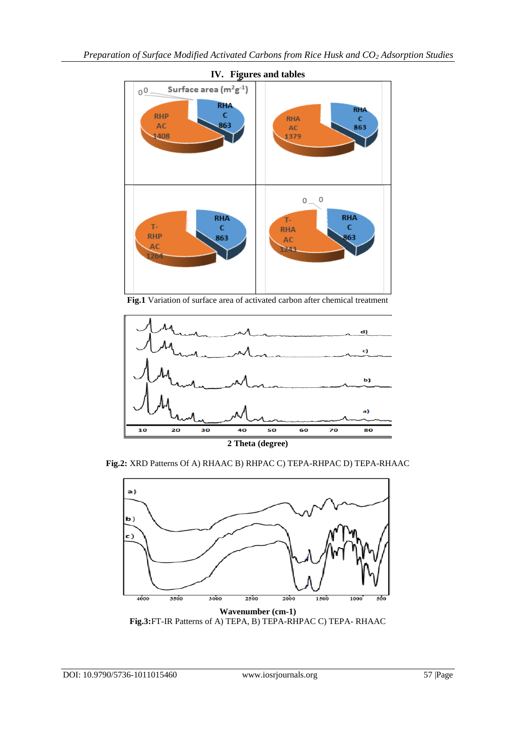

**Fig.1** Variation of surface area of activated carbon after chemical treatment



**Fig.2:** XRD Patterns Of A) RHAAC B) RHPAC C) TEPA-RHPAC D) TEPA-RHAAC



**Fig.3:**FT-IR Patterns of A) TEPA, B) TEPA-RHPAC C) TEPA- RHAAC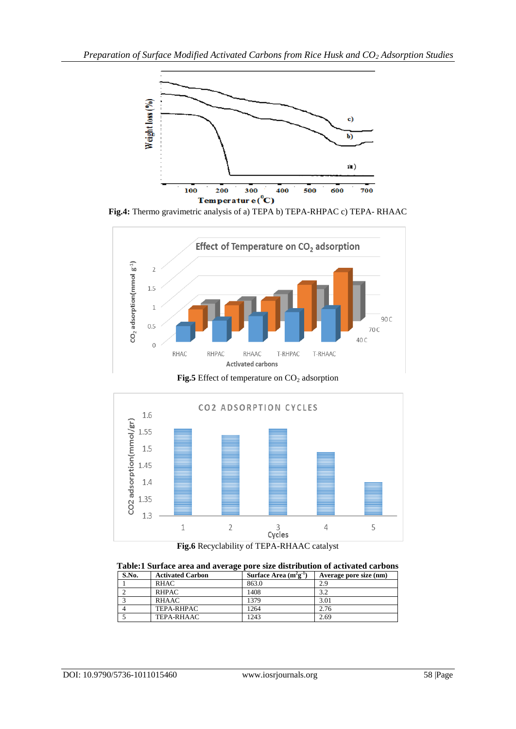

**Fig.4:** Thermo gravimetric analysis of a) TEPA b) TEPA-RHPAC c) TEPA- RHAAC



Fig.5 Effect of temperature on CO<sub>2</sub> adsorption



**Fig.6** Recyclability of TEPA-RHAAC catalyst

| Table:1 Surface area and average pore size distribution of activated carbons |                         |                            |                        |
|------------------------------------------------------------------------------|-------------------------|----------------------------|------------------------|
| S.No.                                                                        | <b>Activated Carbon</b> | Surface Area $(m^2g^{-1})$ | Average pore size (nm) |
|                                                                              | <b>RHAC</b>             | 863.0                      | 2.9                    |
|                                                                              | <b>RHPAC</b>            | 1408                       | 3.2                    |
|                                                                              | <b>RHAAC</b>            | 1379                       | 3.01                   |
|                                                                              | TEPA-RHPAC              | 1264                       | 2.76                   |
|                                                                              | TEPA-RHAAC              | 1243                       | 2.69                   |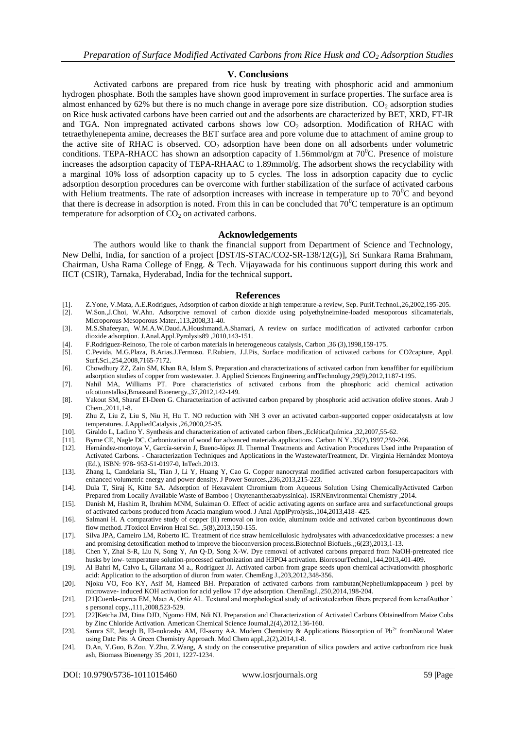### **V. Conclusions**

Activated carbons are prepared from rice husk by treating with phosphoric acid and ammonium hydrogen phosphate. Both the samples have shown good improvement in surface properties. The surface area is almost enhanced by 62% but there is no much change in average pore size distribution.  $CO<sub>2</sub>$  adsorption studies on Rice husk activated carbons have been carried out and the adsorbents are characterized by BET, XRD, FT-IR and TGA. Non impregnated activated carbons shows low  $CO<sub>2</sub>$  adsorption. Modification of RHAC with tetraethylenepenta amine, decreases the BET surface area and pore volume due to attachment of amine group to the active site of RHAC is observed.  $CO<sub>2</sub>$  adsorption have been done on all adsorbents under volumetric conditions. TEPA-RHACC has shown an adsorption capacity of 1.56mmol/gm at  $70^{\circ}$ C. Presence of moisture increases the adsorption capacity of TEPA-RHAAC to 1.89mmol/g. The adsorbent shows the recyclability with a marginal 10% loss of adsorption capacity up to 5 cycles. The loss in adsorption capacity due to cyclic adsorption desorption procedures can be overcome with further stabilization of the surface of activated carbons with Helium treatments. The rate of adsorption increases with increase in temperature up to  $70^{\circ}$ C and beyond that there is decrease in adsorption is noted. From this in can be concluded that  $70^{\circ}$ C temperature is an optimum temperature for adsorption of  $CO<sub>2</sub>$  on activated carbons.

#### **Acknowledgements**

The authors would like to thank the financial support from Department of Science and Technology, New Delhi, India, for sanction of a project [DST/IS-STAC/CO2-SR-138/12(G)], Sri Sunkara Rama Brahmam, Chairman, Usha Rama College of Engg. & Tech. Vijayawada for his continuous support during this work and IICT (CSIR), Tarnaka, Hyderabad, India for the technical support**.**

#### **References**

- [1]. Z.Yone, V.Mata, A.E.Rodrigues, Adsorption of carbon dioxide at high temperature-a review, Sep. Purif.Technol.,26,2002,195-205.
- [2]. W.Son.,J.Choi, W.Ahn. Adsorptive removal of carbon dioxide using polyethylneimine-loaded mesoporous silicamaterials, Microporous Mesoporous Mater.,113,2008,31-40.
- [3]. M.S.Shafeeyan, W.M.A.W.Daud.A.Houshmand.A.Shamari, A review on surface modification of activated carbonfor carbon dioxide adsorption. J.Anal.Appl.Pyrolysis89 ,2010,143-151.
- [4]. F.Rodriguez-Reinoso, The role of carbon materials in heterogeneous catalysis, Carbon ,36 (3),1998,159-175.
- [5]. C.Pevida, M.G.Plaza, B.Arias.J.Fermoso. F.Rubiera, J.J.Pis, Surface modification of activated carbons for CO2capture, Appl. Surf.Sci.,254,2008,7165-7172.
- [6]. Chowdhury ZZ, Zain SM, Khan RA, Islam S. Preparation and characterizations of activated carbon from kenaffiber for equilibrium adsorption studies of copper from wastewater. J. Applied Sciences Engineering andTechnology,29(9),2012,1187-1195.
- [7]. Nahil MA, Williams PT. Pore characteristics of activated carbons from the phosphoric acid chemical activation ofcottonstalksi,Bmassand Bioenergy.,37,2012,142-149.
- [8]. Yakout SM, Sharaf El-Deen G. Characterization of activated carbon prepared by phosphoric acid activation ofolive stones. Arab J Chem.,2011,1-8.
- [9]. Zhu Z, Liu Z, Liu S, Niu H, Hu T. NO reduction with NH 3 over an activated carbon-supported copper oxidecatalysts at low temperatures. J.AppliedCatalysis ,26,2000,25-35.
- [10]. Giraldo L, Ladino Y. Synthesis and characterization of activated carbon fibers.,EcléticaQuímica ,32,2007,55-62.
- [11]. Byrne CE, Nagle DC. Carbonization of wood for advanced materials applications. Carbon N Y.,35(2),1997,259-266.
- [12]. Hernández-montoya V, García-servin J, Bueno-lópez JI. Thermal Treatments and Activation Procedures Used inthe Preparation of Activated Carbons. - Characterization Techniques and Applications in the WastewaterTreatment, Dr. Virginia Hernández Montoya (Ed.), ISBN: 978- 953-51-0197-0, InTech.2013.
- [13]. Zhang L, Candelaria SL, Tian J, Li Y, Huang Y, Cao G. Copper nanocrystal modified activated carbon forsupercapacitors with enhanced volumetric energy and power density. J Power Sources.,236,2013,215-223.
- [14]. Dula T, Siraj K, Kitte SA. Adsorption of Hexavalent Chromium from Aqueous Solution Using ChemicallyActivated Carbon Prepared from Locally Available Waste of Bamboo ( Oxytenantheraabyssinica). ISRNEnvironmental Chemistry ,2014.
- [15]. Danish M, Hashim R, Ibrahim MNM, Sulaiman O. Effect of acidic activating agents on surface area and surfacefunctional groups of activated carbons produced from Acacia mangium wood. J Anal ApplPyrolysis.,104,2013,418- 425.
- [16]. Salmani H. A comparative study of copper (ii) removal on iron oxide, aluminum oxide and activated carbon bycontinuous down flow method. JToxicol Environ Heal Sci. ,5(8),2013,150-155.
- [17]. Silva JPA, Carneiro LM, Roberto IC. Treatment of rice straw hemicellulosic hydrolysates with advancedoxidative processes: a new and promising detoxification method to improve the bioconversion process.Biotechnol Biofuels.,;6(23),2013,1-13.
- [18]. Chen Y, Zhai S-R, Liu N, Song Y, An Q-D, Song X-W. Dye removal of activated carbons prepared from NaOH-pretreated rice husks by low- temperature solution-processed carbonization and H3PO4 activation. BioresourTechnol.,144,2013,401-409.
- [19]. Al Bahri M, Calvo L, Gilarranz M a., Rodriguez JJ. Activated carbon from grape seeds upon chemical activationwith phosphoric acid: Application to the adsorption of diuron from water. ChemEng J.,203,2012,348-356.
- [20]. Njoku VO, Foo KY, Asif M, Hameed BH. Preparation of activated carbons from rambutan(Nepheliumlappaceum ) peel by microwave- induced KOH activation for acid yellow 17 dye adsorption. ChemEngJ.,250,2014,198-204.
- [21]. [21]Cuerda-correa EM, Macı A, Ortiz AL. Textural and morphological study of activatedcarbon fibers prepared from kenafAuthor ' s personal copy.,111,2008,523-529.
- [22]. [22]Ketcha JM, Dina DJD, Ngomo HM, Ndi NJ. Preparation and Characterization of Activated Carbons Obtainedfrom Maize Cobs by Zinc Chloride Activation. American Chemical Science Journal,2(4),2012,136-160.
- [23]. Samra SE, Jeragh B, El-nokrashy AM, El-asmy AA. Modern Chemistry & Applications Biosorption of Pb<sup>2+</sup> fromNatural Water using Date Pits :A Green Chemistry Approach. Mod Chem appl.,2(2),2014,1-8.
- [24]. D.An, Y.Guo, B.Zou, Y.Zhu, Z.Wang, A study on the consecutive preparation of silica powders and active carbonfrom rice husk ash, Biomass Bioenergy 35 ,2011, 1227-1234.